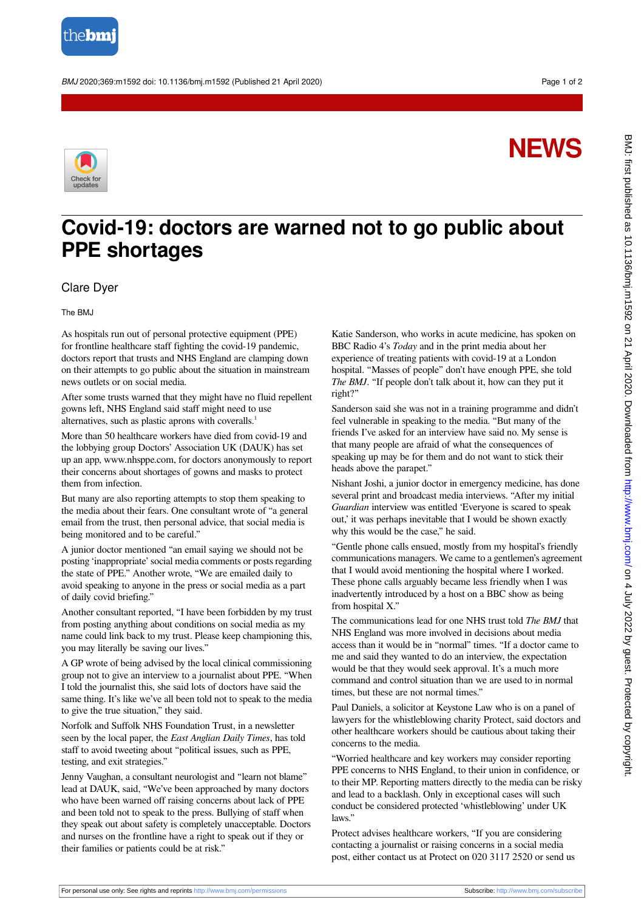

BMJ 2020;369:m1592 doi: 10.1136/bmj.m1592 (Published 21 April 2020) Page 1 of 2

## **NEWS**



## **Covid-19: doctors are warned not to go public about PPE shortages**

## Clare Dyer

The BMJ

As hospitals run out of personal protective equipment (PPE) for frontline healthcare staff fighting the covid-19 pandemic, doctors report that trusts and NHS England are clamping down on their attempts to go public about the situation in mainstream news outlets or on social media.

After some trusts warned that they might have no fluid repellent gowns left, NHS England said staff might need to use alternatives, such as plastic aprons with coveralls.<sup>1</sup>

More than 50 healthcare workers have died from covid-19 and the lobbying group Doctors' Association UK (DAUK) has set up an app, [www.nhsppe.com,](http://www.nhsppe.com) for doctors anonymously to report their concerns about shortages of gowns and masks to protect them from infection.

But many are also reporting attempts to stop them speaking to the media about their fears. One consultant wrote of "a general email from the trust, then personal advice, that social media is being monitored and to be careful."

A junior doctor mentioned "an email saying we should not be posting 'inappropriate' social media comments or posts regarding the state of PPE." Another wrote, "We are emailed daily to avoid speaking to anyone in the press or social media as a part of daily covid briefing."

Another consultant reported, "I have been forbidden by my trust from posting anything about conditions on social media as my name could link back to my trust. Please keep championing this, you may literally be saving our lives."

A GP wrote of being advised by the local clinical commissioning group not to give an interview to a journalist about PPE. "When I told the journalist this, she said lots of doctors have said the same thing. It's like we've all been told not to speak to the media to give the true situation," they said.

Norfolk and Suffolk NHS Foundation Trust, in a newsletter seen by the local paper, the *East Anglian Daily Times*, has told staff to avoid tweeting about "political issues, such as PPE, testing, and exit strategies."

Jenny Vaughan, a consultant neurologist and "learn not blame" lead at DAUK, said, "We've been approached by many doctors who have been warned off raising concerns about lack of PPE and been told not to speak to the press. Bullying of staff when they speak out about safety is completely unacceptable. Doctors and nurses on the frontline have a right to speak out if they or their families or patients could be at risk."

Katie Sanderson, who works in acute medicine, has spoken on BBC Radio 4's *Today* and in the print media about her experience of treating patients with covid-19 at a London hospital. "Masses of people" don't have enough PPE, she told *The BMJ*. "If people don't talk about it, how can they put it right?"

Sanderson said she was not in a training programme and didn't feel vulnerable in speaking to the media. "But many of the friends I've asked for an interview have said no. My sense is that many people are afraid of what the consequences of speaking up may be for them and do not want to stick their heads above the parapet."

Nishant Joshi, a junior doctor in emergency medicine, has done several print and broadcast media interviews. "After my initial *Guardian* interview was entitled 'Everyone is scared to speak out,' it was perhaps inevitable that I would be shown exactly why this would be the case," he said.

"Gentle phone calls ensued, mostly from my hospital's friendly communications managers. We came to a gentlemen's agreement that I would avoid mentioning the hospital where I worked. These phone calls arguably became less friendly when I was inadvertently introduced by a host on a BBC show as being from hospital X."

The communications lead for one NHS trust told *The BMJ* that NHS England was more involved in decisions about media access than it would be in "normal" times. "If a doctor came to me and said they wanted to do an interview, the expectation would be that they would seek approval. It's a much more command and control situation than we are used to in normal times, but these are not normal times."

Paul Daniels, a solicitor at Keystone Law who is on a panel of lawyers for the whistleblowing charity Protect, said doctors and other healthcare workers should be cautious about taking their concerns to the media.

"Worried healthcare and key workers may consider reporting PPE concerns to NHS England, to their union in confidence, or to their MP. Reporting matters directly to the media can be risky and lead to a backlash. Only in exceptional cases will such conduct be considered protected 'whistleblowing' under UK laws"

Protect advises healthcare workers, "If you are considering contacting a journalist or raising concerns in a social media post, either contact us at Protect on 020 3117 2520 or send us